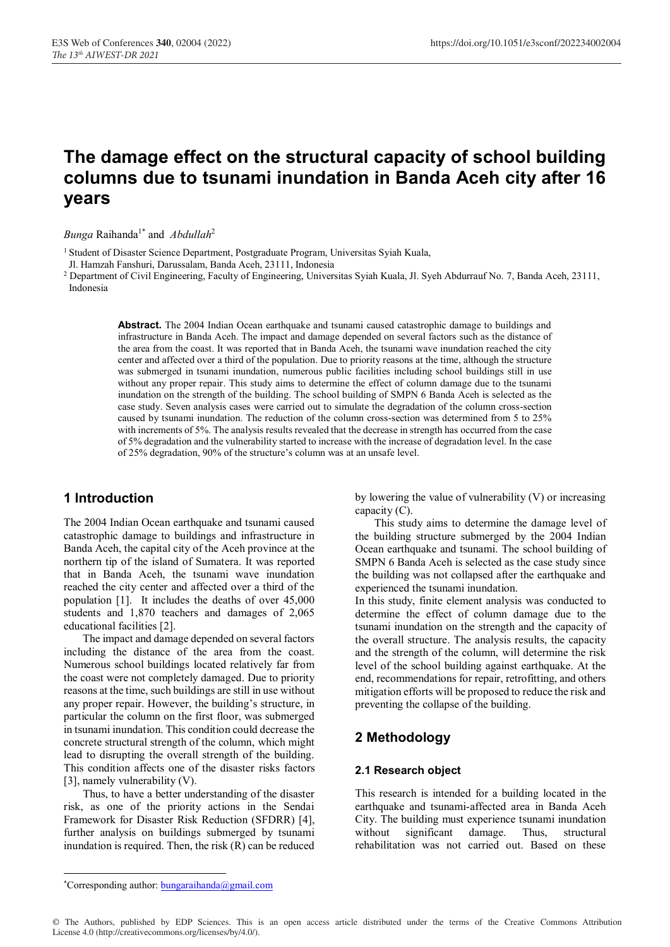# **The damage effect on the structural capacity of school building columns due to tsunami inundation in Banda Aceh city after 16 years**

*Bunga* Raihanda1\* and *Abdullah*<sup>2</sup>

<sup>1</sup> Student of Disaster Science Department, Postgraduate Program, Universitas Syiah Kuala,

Jl. Hamzah Fanshuri, Darussalam, Banda Aceh, 23111, Indonesia

<sup>2</sup> Department of Civil Engineering, Faculty of Engineering, Universitas Syiah Kuala, Jl. Syeh Abdurrauf No. 7, Banda Aceh, 23111, Indonesia

> **Abstract.** The 2004 Indian Ocean earthquake and tsunami caused catastrophic damage to buildings and infrastructure in Banda Aceh. The impact and damage depended on several factors such as the distance of the area from the coast. It was reported that in Banda Aceh, the tsunami wave inundation reached the city center and affected over a third of the population. Due to priority reasons at the time, although the structure was submerged in tsunami inundation, numerous public facilities including school buildings still in use without any proper repair. This study aims to determine the effect of column damage due to the tsunami inundation on the strength of the building. The school building of SMPN 6 Banda Aceh is selected as the case study. Seven analysis cases were carried out to simulate the degradation of the column cross-section caused by tsunami inundation. The reduction of the column cross-section was determined from 5 to 25% with increments of 5%. The analysis results revealed that the decrease in strength has occurred from the case of 5% degradation and the vulnerability started to increase with the increase of degradation level. In the case of 25% degradation, 90% of the structure's column was at an unsafe level.

## **1 Introduction**

The 2004 Indian Ocean earthquake and tsunami caused catastrophic damage to buildings and infrastructure in Banda Aceh, the capital city of the Aceh province at the northern tip of the island of Sumatera. It was reported that in Banda Aceh, the tsunami wave inundation reached the city center and affected over a third of the population [1]. It includes the deaths of over 45,000 students and 1,870 teachers and damages of 2,065 educational facilities [2].

The impact and damage depended on several factors including the distance of the area from the coast. Numerous school buildings located relatively far from the coast were not completely damaged. Due to priority reasons at the time, such buildings are still in use without any proper repair. However, the building's structure, in particular the column on the first floor, was submerged in tsunami inundation. This condition could decrease the concrete structural strength of the column, which might lead to disrupting the overall strength of the building. This condition affects one of the disaster risks factors [3], namely vulnerability (V).

Thus, to have a better understanding of the disaster risk, as one of the priority actions in the Sendai Framework for Disaster Risk Reduction (SFDRR) [4], further analysis on buildings submerged by tsunami inundation is required. Then, the risk (R) can be reduced by lowering the value of vulnerability (V) or increasing capacity (C).

This study aims to determine the damage level of the building structure submerged by the 2004 Indian Ocean earthquake and tsunami. The school building of SMPN 6 Banda Aceh is selected as the case study since the building was not collapsed after the earthquake and experienced the tsunami inundation.

In this study, finite element analysis was conducted to determine the effect of column damage due to the tsunami inundation on the strength and the capacity of the overall structure. The analysis results, the capacity and the strength of the column, will determine the risk level of the school building against earthquake. At the end, recommendations for repair, retrofitting, and others mitigation efforts will be proposed to reduce the risk and preventing the collapse of the building.

## **2 Methodology**

#### **2.1 Research object**

This research is intended for a building located in the earthquake and tsunami-affected area in Banda Aceh City. The building must experience tsunami inundation without significant damage. Thus, structural rehabilitation was not carried out. Based on these

 <sup>\*</sup>Corresponding author: bungaraihanda@gmail.com

<sup>©</sup> The Authors, published by EDP Sciences. This is an open access article distributed under the terms of the Creative Commons Attribution License 4.0 (http://creativecommons.org/licenses/by/4.0/).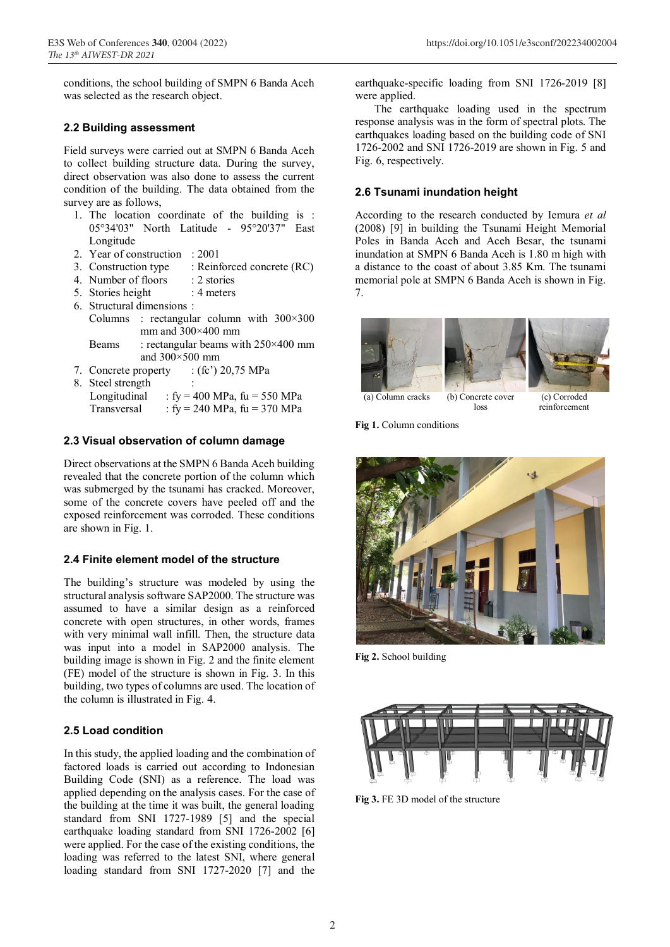conditions, the school building of SMPN 6 Banda Aceh was selected as the research object.

#### **2.2 Building assessment**

Field surveys were carried out at SMPN 6 Banda Aceh to collect building structure data. During the survey, direct observation was also done to assess the current condition of the building. The data obtained from the survey are as follows,

- 1. The location coordinate of the building is : 05°34'03" North Latitude - 95°20'37" East Longitude
- 2. Year of construction : 2001
- 3. Construction type : Reinforced concrete (RC)
- 4. Number of floors : 2 stories<br>5. Stories height : 4 meters
- 5. Stories height
- 6. Structural dimensions :
- Columns : rectangular column with 300×300 mm and  $300\times400$  mm
- Beams : rectangular beams with  $250 \times 400$  mm and 300×500 mm
- 7. Concrete property : (fc') 20,75 MPa
- 8. Steel strength :
- Longitudinal :  $fy = 400 \text{ MPa}$ ,  $fu = 550 \text{ MPa}$ Transversal :  $fy = 240 \text{ MPa}$ ,  $fu = 370 \text{ MPa}$

#### **2.3 Visual observation of column damage**

Direct observations at the SMPN 6 Banda Aceh building revealed that the concrete portion of the column which was submerged by the tsunami has cracked. Moreover, some of the concrete covers have peeled off and the exposed reinforcement was corroded. These conditions are shown in Fig. 1.

#### **2.4 Finite element model of the structure**

The building's structure was modeled by using the structural analysis software SAP2000. The structure was assumed to have a similar design as a reinforced concrete with open structures, in other words, frames with very minimal wall infill. Then, the structure data was input into a model in SAP2000 analysis. The building image is shown in Fig. 2 and the finite element (FE) model of the structure is shown in Fig. 3. In this building, two types of columns are used. The location of the column is illustrated in Fig. 4.

### **2.5 Load condition**

In this study, the applied loading and the combination of factored loads is carried out according to Indonesian Building Code (SNI) as a reference. The load was applied depending on the analysis cases. For the case of the building at the time it was built, the general loading standard from SNI 1727-1989 [5] and the special earthquake loading standard from SNI 1726-2002 [6] were applied. For the case of the existing conditions, the loading was referred to the latest SNI, where general loading standard from SNI 1727-2020 [7] and the

earthquake-specific loading from SNI 1726-2019 [8] were applied.

The earthquake loading used in the spectrum response analysis was in the form of spectral plots. The earthquakes loading based on the building code of SNI 1726-2002 and SNI 1726-2019 are shown in Fig. 5 and Fig. 6, respectively.

#### **2.6 Tsunami inundation height**

According to the research conducted by Iemura *et al* (2008) [9] in building the Tsunami Height Memorial Poles in Banda Aceh and Aceh Besar, the tsunami inundation at SMPN 6 Banda Aceh is 1.80 m high with a distance to the coast of about 3.85 Km. The tsunami memorial pole at SMPN 6 Banda Aceh is shown in Fig. 7.



loss

(c) Corroded reinforcement

**Fig 1.** Column conditions



**Fig 2.** School building



**Fig 3.** FE 3D model of the structure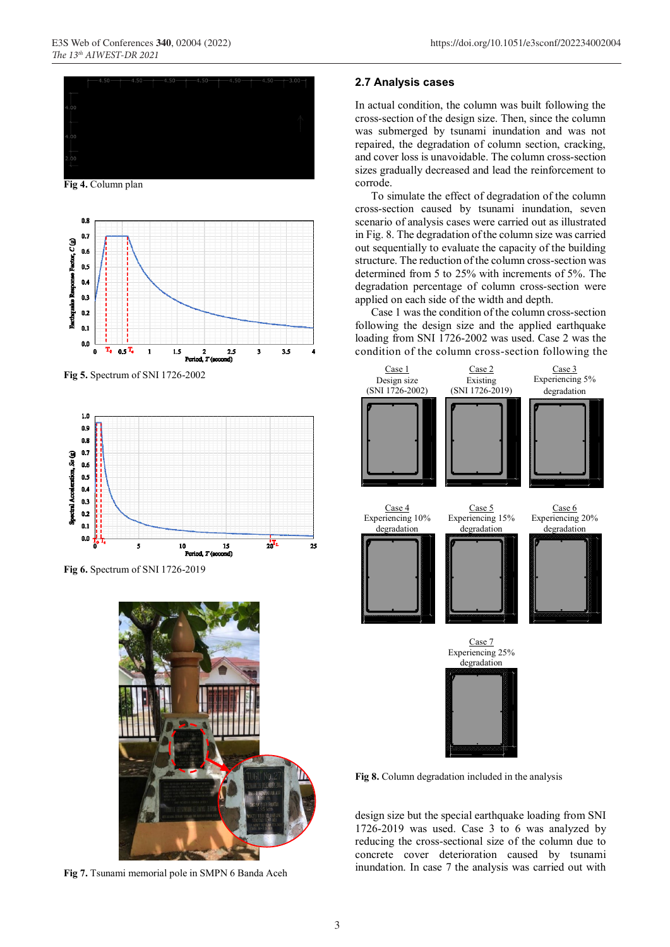

**Fig 4.** Column plan



**Fig 5.** Spectrum of SNI 1726-2002



**Fig 6.** Spectrum of SNI 1726-2019



**Fig 7.** Tsunami memorial pole in SMPN 6 Banda Aceh

#### **2.7 Analysis cases**

In actual condition, the column was built following the cross-section of the design size. Then, since the column was submerged by tsunami inundation and was not repaired, the degradation of column section, cracking, and cover loss is unavoidable. The column cross-section sizes gradually decreased and lead the reinforcement to corrode.

To simulate the effect of degradation of the column cross-section caused by tsunami inundation, seven scenario of analysis cases were carried out as illustrated in Fig. 8. The degradation of the column size was carried out sequentially to evaluate the capacity of the building structure. The reduction of the column cross-section was determined from 5 to 25% with increments of 5%. The degradation percentage of column cross-section were applied on each side of the width and depth.

Case 1 wasthe condition of the column cross-section following the design size and the applied earthquake loading from SNI 1726-2002 was used. Case 2 was the condition of the column cross-section following the



**Fig 8.** Column degradation included in the analysis

design size but the special earthquake loading from SNI 1726-2019 was used. Case 3 to 6 was analyzed by reducing the cross-sectional size of the column due to concrete cover deterioration caused by tsunami inundation. In case 7 the analysis was carried out with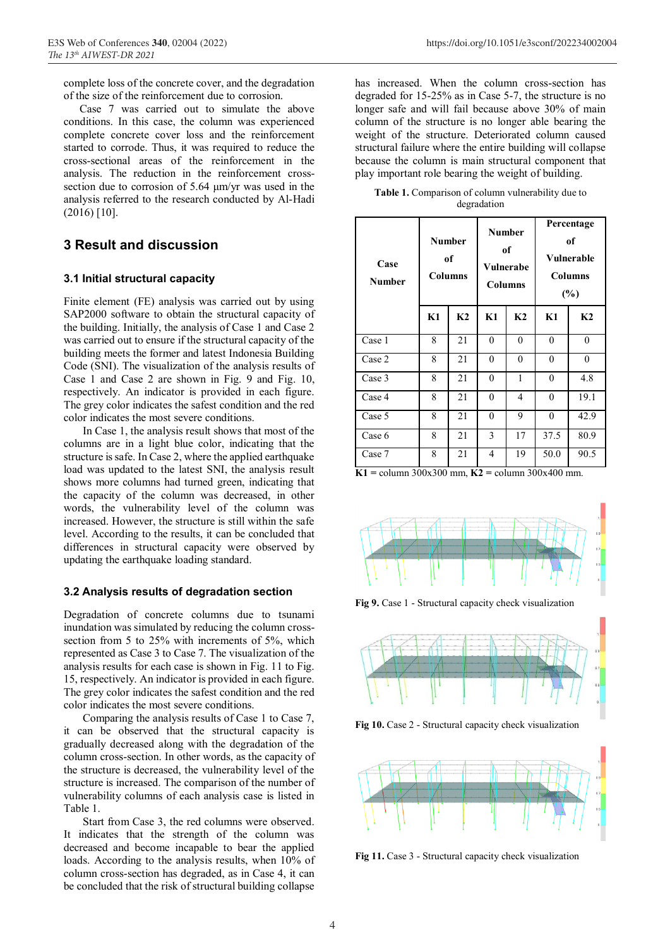complete loss of the concrete cover, and the degradation of the size of the reinforcement due to corrosion.

Case 7 was carried out to simulate the above conditions. In this case, the column was experienced complete concrete cover loss and the reinforcement started to corrode. Thus, it was required to reduce the cross-sectional areas of the reinforcement in the analysis. The reduction in the reinforcement crosssection due to corrosion of 5.64 μm/yr was used in the analysis referred to the research conducted by Al-Hadi (2016) [10].

## **3 Result and discussion**

#### **3.1 Initial structural capacity**

Finite element (FE) analysis was carried out by using SAP2000 software to obtain the structural capacity of the building. Initially, the analysis of Case 1 and Case 2 was carried out to ensure if the structural capacity of the building meets the former and latest Indonesia Building Code (SNI). The visualization of the analysis results of Case 1 and Case 2 are shown in Fig. 9 and Fig. 10, respectively. An indicator is provided in each figure. The grey color indicates the safest condition and the red color indicates the most severe conditions.

In Case 1, the analysis result shows that most of the columns are in a light blue color, indicating that the structure is safe. In Case 2, where the applied earthquake load was updated to the latest SNI, the analysis result shows more columns had turned green, indicating that the capacity of the column was decreased, in other words, the vulnerability level of the column was increased. However, the structure is still within the safe level. According to the results, it can be concluded that differences in structural capacity were observed by updating the earthquake loading standard.

#### **3.2 Analysis results of degradation section**

Degradation of concrete columns due to tsunami inundation was simulated by reducing the column crosssection from 5 to 25% with increments of 5%, which represented as Case 3 to Case 7. The visualization of the analysis results for each case is shown in Fig. 11 to Fig. 15, respectively. An indicator is provided in each figure. The grey color indicates the safest condition and the red color indicates the most severe conditions.

Comparing the analysis results of Case 1 to Case 7, it can be observed that the structural capacity is gradually decreased along with the degradation of the column cross-section. In other words, as the capacity of the structure is decreased, the vulnerability level of the structure is increased. The comparison of the number of vulnerability columns of each analysis case is listed in Table 1.

Start from Case 3, the red columns were observed. It indicates that the strength of the column was decreased and become incapable to bear the applied loads. According to the analysis results, when 10% of column cross-section has degraded, as in Case 4, it can be concluded that the risk of structural building collapse

has increased. When the column cross-section has degraded for 15-25% as in Case 5-7, the structure is no longer safe and will fail because above 30% of main column of the structure is no longer able bearing the weight of the structure. Deteriorated column caused structural failure where the entire building will collapse because the column is main structural component that play important role bearing the weight of building.

**Table 1.** Comparison of column vulnerability due to degradation

| Case<br><b>Number</b> | <b>Number</b><br>of<br><b>Columns</b> |                | <b>Number</b><br>of<br>Vulnerabe<br><b>Columns</b> |                | Percentage<br>of<br><b>Vulnerable</b><br><b>Columns</b><br>$(\%)$ |                |
|-----------------------|---------------------------------------|----------------|----------------------------------------------------|----------------|-------------------------------------------------------------------|----------------|
|                       | K1                                    | K <sub>2</sub> | K1                                                 | K <sub>2</sub> | K1                                                                | K <sub>2</sub> |
| Case 1                | 8                                     | 21             | $\theta$                                           | $\theta$       | $\theta$                                                          | $\theta$       |
| Case 2                | 8                                     | 21             | $\theta$                                           | $\theta$       | $\boldsymbol{0}$                                                  | $\theta$       |
| Case 3                | 8                                     | 21             | $\theta$                                           | 1              | $\theta$                                                          | 4.8            |
| Case 4                | 8                                     | 21             | $\theta$                                           | 4              | 0                                                                 | 19.1           |
| Case 5                | 8                                     | 21             | $\Omega$                                           | 9              | $\theta$                                                          | 42.9           |
| Case 6                | 8                                     | 21             | 3                                                  | 17             | 37.5                                                              | 80.9           |
| Case 7                | 8                                     | 21             | 4                                                  | 19             | 50.0                                                              | 90.5           |

**K1 =** column 300x300 mm, **K2 =** column 300x400 mm.



**Fig 9.** Case 1 - Structural capacity check visualization



**Fig 10.** Case 2 - Structural capacity check visualization



**Fig 11.** Case 3 - Structural capacity check visualization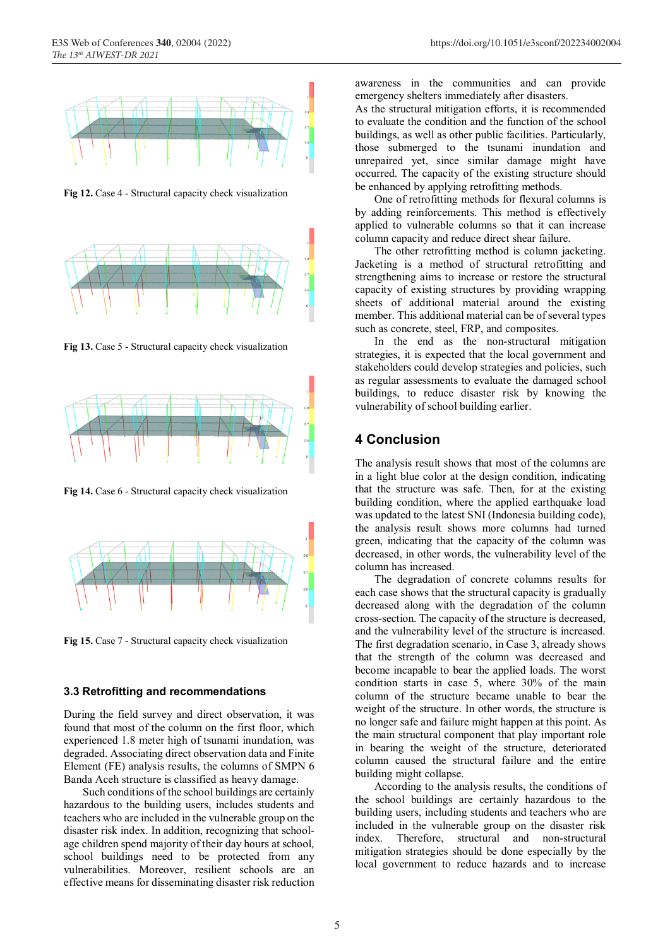

**Fig 12.** Case 4 - Structural capacity check visualization



**Fig 13.** Case 5 - Structural capacity check visualization



**Fig 14.** Case 6 - Structural capacity check visualization



**Fig 15.** Case 7 - Structural capacity check visualization

#### **3.3 Retrofitting and recommendations**

During the field survey and direct observation, it was found that most of the column on the first floor, which experienced 1.8 meter high of tsunami inundation, was degraded. Associating direct observation data and Finite Element (FE) analysis results, the columns of SMPN 6 Banda Aceh structure is classified as heavy damage.

Such conditions of the school buildings are certainly hazardous to the building users, includes students and teachers who are included in the vulnerable group on the disaster risk index. In addition, recognizing that schoolage children spend majority of their day hours at school, school buildings need to be protected from any vulnerabilities. Moreover, resilient schools are an effective means for disseminating disaster risk reduction

awareness in the communities and can provide emergency shelters immediately after disasters.

As the structural mitigation efforts, it is recommended to evaluate the condition and the function of the school buildings, as well as other public facilities. Particularly, those submerged to the tsunami inundation and unrepaired yet, since similar damage might have occurred. The capacity of the existing structure should be enhanced by applying retrofitting methods.

One of retrofitting methods for flexural columns is by adding reinforcements. This method is effectively applied to vulnerable columns so that it can increase column capacity and reduce direct shear failure.

The other retrofitting method is column jacketing. Jacketing is a method of structural retrofitting and strengthening aims to increase or restore the structural capacity of existing structures by providing wrapping sheets of additional material around the existing member. This additional material can be of several types such as concrete, steel, FRP, and composites.

In the end as the non-structural mitigation strategies, it is expected that the local government and stakeholders could develop strategies and policies, such as regular assessments to evaluate the damaged school buildings, to reduce disaster risk by knowing the vulnerability of school building earlier.

### **4 Conclusion**

The analysis result shows that most of the columns are in a light blue color at the design condition, indicating that the structure was safe. Then, for at the existing building condition, where the applied earthquake load was updated to the latest SNI (Indonesia building code), the analysis result shows more columns had turned green, indicating that the capacity of the column was decreased, in other words, the vulnerability level of the column has increased.

The degradation of concrete columns results for each case shows that the structural capacity is gradually decreased along with the degradation of the column cross-section. The capacity of the structure is decreased, and the vulnerability level of the structure is increased. The first degradation scenario, in Case 3, already shows that the strength of the column was decreased and become incapable to bear the applied loads. The worst condition starts in case 5, where 30% of the main column of the structure became unable to bear the weight of the structure. In other words, the structure is no longer safe and failure might happen at this point. As the main structural component that play important role in bearing the weight of the structure, deteriorated column caused the structural failure and the entire building might collapse.

According to the analysis results, the conditions of the school buildings are certainly hazardous to the building users, including students and teachers who are included in the vulnerable group on the disaster risk index. Therefore, structural and non-structural mitigation strategies should be done especially by the local government to reduce hazards and to increase